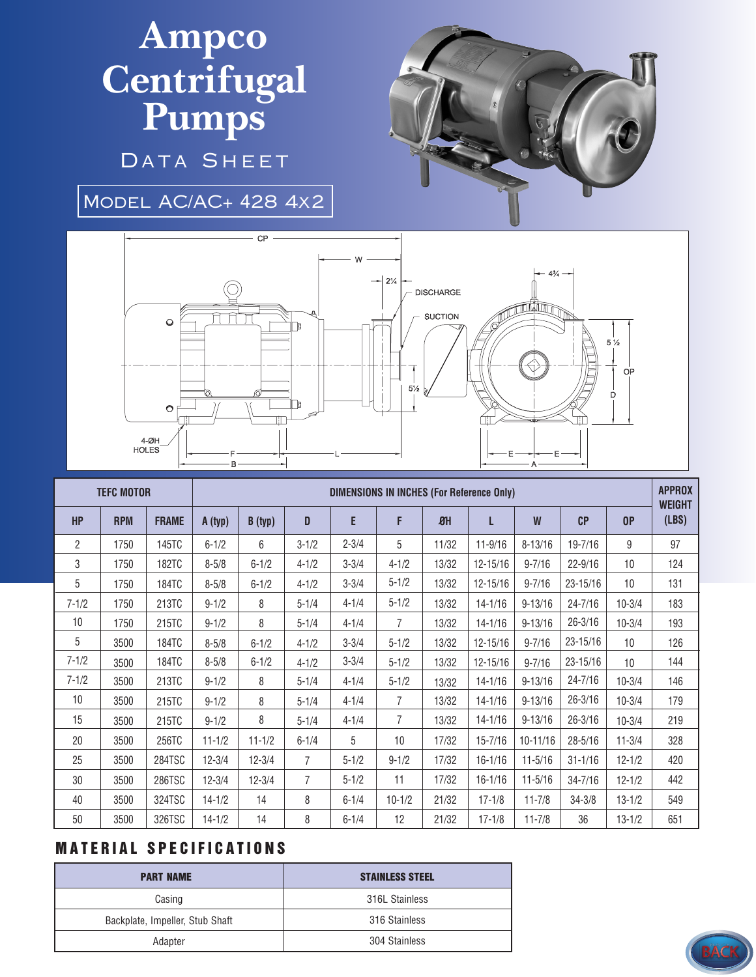## **Ampco Centrifugal Pumps**

DATA SHEET

Model AC/AC+ 428 4x2



|                | <b>TEFC MOTOR</b> |              | <b>DIMENSIONS IN INCHES (For Reference Only)</b> |            |                |           |                |                  |             |              |             |                 | <b>APPROX</b><br><b>WEIGHT</b> |
|----------------|-------------------|--------------|--------------------------------------------------|------------|----------------|-----------|----------------|------------------|-------------|--------------|-------------|-----------------|--------------------------------|
| <b>HP</b>      | <b>RPM</b>        | <b>FRAME</b> | A (typ)                                          | B(typ)     | D              | E         | F              | $\mathfrak{B}$ H | L           | W            | CP          | 0P              | (LBS)                          |
| $\overline{2}$ | 1750              | 145TC        | $6 - 1/2$                                        | 6          | $3 - 1/2$      | $2 - 3/4$ | 5              | 11/32            | $11 - 9/16$ | $8 - 13/16$  | $19 - 7/16$ | 9               | 97                             |
| 3              | 1750              | <b>182TC</b> | $8 - 5/8$                                        | $6 - 1/2$  | $4 - 1/2$      | $3 - 3/4$ | $4 - 1/2$      | 13/32            | 12-15/16    | $9 - 7/16$   | $22 - 9/16$ | 10 <sup>1</sup> | 124                            |
| 5              | 1750              | 184TC        | $8 - 5/8$                                        | $6 - 1/2$  | $4 - 1/2$      | $3 - 3/4$ | $5 - 1/2$      | 13/32            | 12-15/16    | $9 - 7/16$   | 23-15/16    | 10 <sup>1</sup> | 131                            |
| $7 - 1/2$      | 1750              | 213TC        | $9 - 1/2$                                        | 8          | $5 - 1/4$      | $4 - 1/4$ | $5 - 1/2$      | 13/32            | $14 - 1/16$ | $9 - 13/16$  | $24 - 7/16$ | $10 - 3/4$      | 183                            |
| 10             | 1750              | 215TC        | $9 - 1/2$                                        | 8          | $5 - 1/4$      | $4 - 1/4$ | $\overline{7}$ | 13/32            | $14 - 1/16$ | $9 - 13/16$  | $26 - 3/16$ | $10 - 3/4$      | 193                            |
| 5              | 3500              | 184TC        | $8 - 5/8$                                        | $6 - 1/2$  | $4 - 1/2$      | $3 - 3/4$ | $5 - 1/2$      | 13/32            | 12-15/16    | $9 - 7/16$   | 23-15/16    | 10              | 126                            |
| $7 - 1/2$      | 3500              | 184TC        | $8 - 5/8$                                        | $6 - 1/2$  | $4 - 1/2$      | $3 - 3/4$ | $5 - 1/2$      | 13/32            | 12-15/16    | $9 - 7/16$   | 23-15/16    | 10 <sup>1</sup> | 144                            |
| $7 - 1/2$      | 3500              | 213TC        | $9 - 1/2$                                        | 8          | $5 - 1/4$      | $4 - 1/4$ | $5 - 1/2$      | 13/32            | $14 - 1/16$ | $9 - 13/16$  | $24 - 7/16$ | $10 - 3/4$      | 146                            |
| 10             | 3500              | 215TC        | $9 - 1/2$                                        | 8          | $5 - 1/4$      | $4 - 1/4$ | 7              | 13/32            | $14 - 1/16$ | $9 - 13/16$  | $26 - 3/16$ | $10 - 3/4$      | 179                            |
| 15             | 3500              | 215TC        | $9 - 1/2$                                        | 8          | $5 - 1/4$      | $4 - 1/4$ | 7              | 13/32            | $14 - 1/16$ | $9 - 13/16$  | $26 - 3/16$ | $10 - 3/4$      | 219                            |
| 20             | 3500              | 256TC        | $11 - 1/2$                                       | $11 - 1/2$ | $6 - 1/4$      | 5         | 10             | 17/32            | $15 - 7/16$ | $10 - 11/16$ | $28 - 5/16$ | $11 - 3/4$      | 328                            |
| 25             | 3500              | 284TSC       | $12 - 3/4$                                       | $12 - 3/4$ | $\overline{7}$ | $5 - 1/2$ | $9 - 1/2$      | 17/32            | $16 - 1/16$ | $11 - 5/16$  | $31 - 1/16$ | $12 - 1/2$      | 420                            |
| 30             | 3500              | 286TSC       | $12 - 3/4$                                       | $12 - 3/4$ | $\overline{7}$ | $5 - 1/2$ | 11             | 17/32            | $16 - 1/16$ | $11 - 5/16$  | $34 - 7/16$ | $12 - 1/2$      | 442                            |
| 40             | 3500              | 324TSC       | $14 - 1/2$                                       | 14         | 8              | $6 - 1/4$ | $10 - 1/2$     | 21/32            | $17 - 1/8$  | $11 - 7/8$   | $34 - 3/8$  | $13 - 1/2$      | 549                            |
| 50             | 3500              | 326TSC       | $14 - 1/2$                                       | 14         | 8              | $6 - 1/4$ | 12             | 21/32            | $17 - 1/8$  | $11 - 7/8$   | 36          | $13 - 1/2$      | 651                            |

## **MATERIAL SPECIFICATIONS**

| <b>PART NAME</b>                | <b>STAINLESS STEEL</b> |  |  |  |  |
|---------------------------------|------------------------|--|--|--|--|
| Casing                          | 316L Stainless         |  |  |  |  |
| Backplate, Impeller, Stub Shaft | 316 Stainless          |  |  |  |  |
| Adapter                         | 304 Stainless          |  |  |  |  |